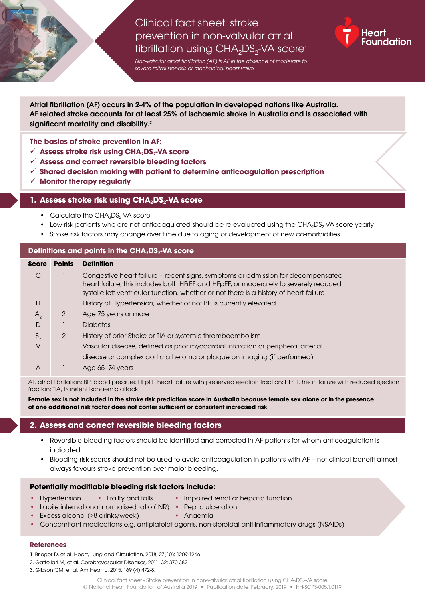# Clinical fact sheet: stroke prevention in non-valvular atrial fibrillation using  $CHA<sub>2</sub>DS<sub>2</sub>-VA$  score<sup>1</sup>



*Non-valvular atrial fibrillation (AF) is AF in the absence of moderate to severe mitral stenosis or mechanical heart valve*

Atrial fibrillation (AF) occurs in 2-4% of the population in developed nations like Australia. AF related stroke accounts for at least 25% of ischaemic stroke in Australia and is associated with significant mortality and disability.<sup>2</sup>

**The basics of stroke prevention in AF:** 

- √ Assess stroke risk using CHA<sub>2</sub>DS<sub>2</sub>-VA score
- **Assess and correct reversible bleeding factors**
- **Shared decision making with patient to determine anticoagulation prescription**
- **Monitor therapy regularly**

## **1. Assess stroke risk using CHA<sub>2</sub>DS<sub>2</sub>-VA score**

- Calculate the CHA<sub>2</sub>DS<sub>2</sub>-VA score
- Low-risk patients who are not anticoagulated should be re-evaluated using the CHA<sub>2</sub>DS<sub>2</sub>-VA score yearly
- Stroke risk factors may change over time due to aging or development of new co-morbidities

### **Definitions and points in the CHA<sub>2</sub>DS<sub>2</sub>-VA score**

| <b>Score</b> | <b>Points</b> | <b>Definition</b>                                                                                                                                                                                                                                                  |  |  |  |  |
|--------------|---------------|--------------------------------------------------------------------------------------------------------------------------------------------------------------------------------------------------------------------------------------------------------------------|--|--|--|--|
| C            |               | Congestive heart failure - recent signs, symptoms or admission for decompensated<br>heart failure; this includes both HFrEF and HFpEF, or moderately to severely reduced<br>systolic left ventricular function, whether or not there is a history of heart failure |  |  |  |  |
| H            |               | History of Hypertension, whether or not BP is currently elevated                                                                                                                                                                                                   |  |  |  |  |
| $A_{2}$      | 2             | Age 75 years or more                                                                                                                                                                                                                                               |  |  |  |  |
| D            |               | <b>Diabetes</b>                                                                                                                                                                                                                                                    |  |  |  |  |
| $S_{2}$      | 2             | History of prior Stroke or TIA or systemic thromboembolism                                                                                                                                                                                                         |  |  |  |  |
| V            |               | Vascular disease, defined as prior myocardial infarction or peripheral arterial                                                                                                                                                                                    |  |  |  |  |
|              |               | disease or complex aortic atheroma or plaque on imaging (if performed)                                                                                                                                                                                             |  |  |  |  |
| A            |               | Age 65-74 years                                                                                                                                                                                                                                                    |  |  |  |  |

AF, atrial fibrillation; BP, blood pressure; HFpEF, heart failure with preserved ejection fraction; HFrEF, heart failure with reduced ejection fraction; TIA, transient ischaemic attack

**Female sex is not included in the stroke risk prediction score in Australia because female sex alone or in the presence of one additional risk factor does not confer sufficient or consistent increased risk**

## **2. Assess and correct reversible bleeding factors**

- Reversible bleeding factors should be identified and corrected in AF patients for whom anticoagulation is indicated.
- Bleeding risk scores should not be used to avoid anticoagulation in patients with AF net clinical benefit almost always favours stroke prevention over major bleeding.

#### **Potentially modifiable bleeding risk factors include:**

- Hypertension Frailty and falls Impaired renal or hepatic function
- 
- Labile international normalised ratio (INR) Peptic ulceration
	-
- Excess alcohol (>8 drinks/week) Anaemia
- Concomitant medications e.g. antiplatelet agents, non-steroidal anti-inflammatory drugs (NSAIDs)

#### **References**

- 1. Brieger D, et al. Heart, Lung and Circulation, 2018; 27(10): 1209-1266
- 2. Gattellari M, et al. Cerebrovascular Diseases, 2011; 32: 370-382
- 3. Gibson CM, et al. Am Heart J, 2015, 169 (4) 472-8.